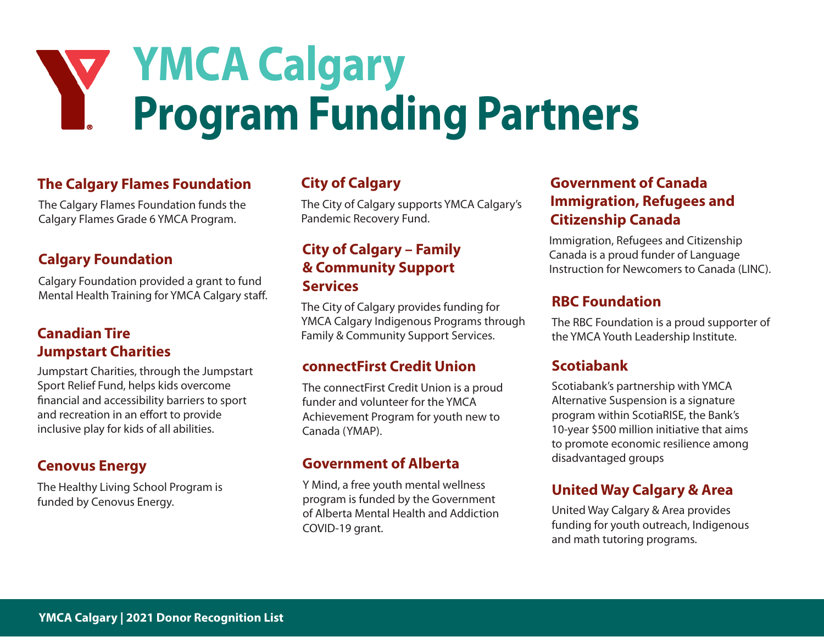# **YMCA Calgary Program Funding Partners**

## **The Calgary Flames Foundation**

The Calgary Flames Foundation funds the Calgary Flames Grade 6 YMCA Program.

## **Calgary Foundation**

Calgary Foundation provided a grant to fund Mental Health Training for YMCA Calgary staff.

## **Canadian Tire Jumpstart Charities**

Jumpstart Charities, through the Jumpstart Sport Relief Fund, helps kids overcome financial and accessibility barriers to sport and recreation in an effort to provide inclusive play for kids of all abilities.

## **Cenovus Energy**

The Healthy Living School Program is funded by Cenovus Energy.

## **City of Calgary**

The City of Calgary supports YMCA Calgary's Pandemic Recovery Fund.

## **City of Calgary – Family & Community Support Services**

The City of Calgary provides funding for YMCA Calgary Indigenous Programs through Family & Community Support Services.

### **connectFirst Credit Union**

The connectFirst Credit Union is a proud funder and volunteer for the YMCA Achievement Program for youth new to Canada (YMAP).

## **Government of Alberta**

Y Mind, a free youth mental wellness program is funded by the Government of Alberta Mental Health and Addiction COVID-19 grant.

## **Government of Canada Immigration, Refugees and Citizenship Canada**

Immigration, Refugees and Citizenship Canada is a proud funder of Language Instruction for Newcomers to Canada (LINC).

### **RBC Foundation**

The RBC Foundation is a proud supporter of the YMCA Youth Leadership Institute.

## **Scotiabank**

Scotiabank's partnership with YMCA Alternative Suspension is a signature program within ScotiaRISE, the Bank's 10-year \$500 million initiative that aims to promote economic resilience among disadvantaged groups

## **United Way Calgary & Area**

United Way Calgary & Area provides funding for youth outreach, Indigenous and math tutoring programs.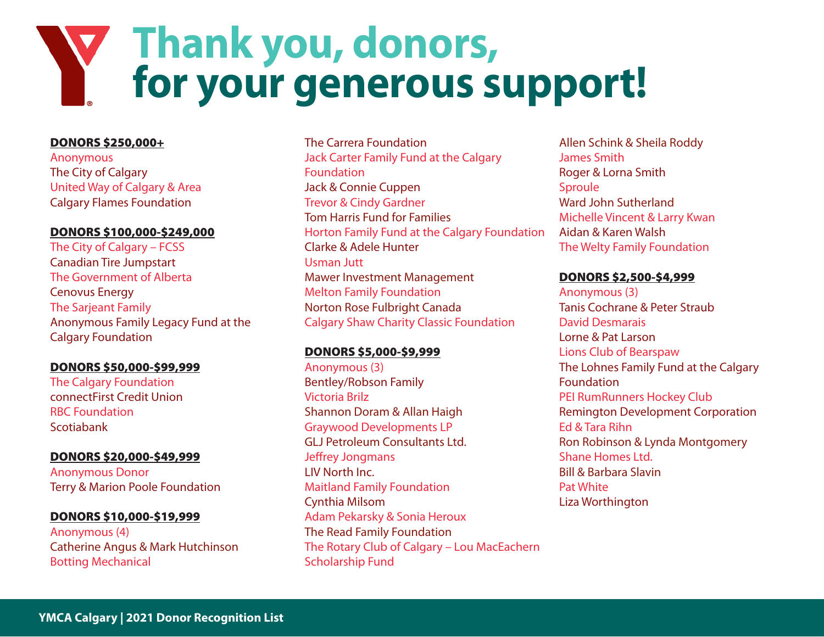## **Thank you, donors, for your generous support!**

#### DONORS \$250,000+

Anonymous The City of Calgary United Way of Calgary & Area Calgary Flames Foundation

#### DONORS \$100,000-\$249,000

The City of Calgary – FCSS Canadian Tire Jumpstart The Government of Alberta Cenovus Energy The Sarjeant Family Anonymous Family Legacy Fund at the Calgary Foundation

#### DONORS \$50,000-\$99,999

The Calgary Foundation connectFirst Credit Union RBC Foundation Scotiabank

#### DONORS \$20,000-\$49,999

Anonymous Donor Terry & Marion Poole Foundation

#### DONORS \$10,000-\$19,999

Anonymous (4) Catherine Angus & Mark Hutchinson Botting Mechanical

#### The Carrera Foundation

Jack Carter Family Fund at the Calgary Foundation Jack & Connie Cuppen Trevor & Cindy Gardner Tom Harris Fund for Families Horton Family Fund at the Calgary Foundation Clarke & Adele Hunter Usman Jutt Mawer Investment Management Melton Family Foundation Norton Rose Fulbright Canada Calgary Shaw Charity Classic Foundation

#### DONORS \$5,000-\$9,999

Anonymous (3) Bentley/Robson Family Victoria Brilz Shannon Doram & Allan Haigh Graywood Developments LP GLJ Petroleum Consultants Ltd. Jeffrey Jongmans LIV North Inc. Maitland Family Foundation Cynthia Milsom Adam Pekarsky & Sonia Heroux The Read Family Foundation The Rotary Club of Calgary – Lou MacEachern Scholarship Fund

Allen Schink & Sheila Roddy James Smith Roger & Lorna Smith Sproule Ward John Sutherland Michelle Vincent & Larry Kwan Aidan & Karen Walsh The Welty Family Foundation

#### DONORS \$2,500-\$4,999

Anonymous (3) Tanis Cochrane & Peter Straub David Desmarais Lorne & Pat Larson Lions Club of Bearspaw The Lohnes Family Fund at the Calgary Foundation PEI RumRunners Hockey Club Remington Development Corporation Ed & Tara Rihn Ron Robinson & Lynda Montgomery Shane Homes Ltd. Bill & Barbara Slavin Pat White Liza Worthington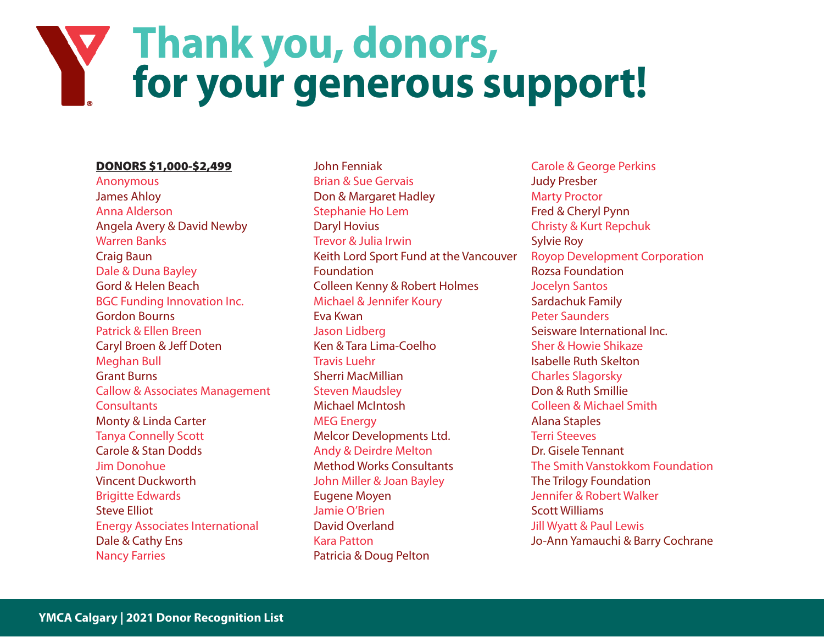## **Thank you, donors, for your generous support!**

#### DONORS \$1,000-\$2,499

Anonymous James Ahloy Anna Alderson Angela Avery & David Newby Warren Banks Craig Baun Dale & Duna Bayley Gord & Helen Beach BGC Funding Innovation Inc. Gordon Bourns Patrick & Ellen Breen Caryl Broen & Jeff Doten Meghan Bull Grant Burns Callow & Associates Management **Consultants** Monty & Linda Carter Tanya Connelly Scott Carole & Stan Dodds Jim Donohue Vincent Duckworth Brigitte Edwards Steve Elliot Energy Associates International Dale & Cathy Ens Nancy Farries

John Fenniak Brian & Sue Gervais Don & Margaret Hadley Stephanie Ho Lem Daryl Hovius Trevor & Julia Irwin Keith Lord Sport Fund at the Vancouver Foundation Colleen Kenny & Robert Holmes Michael & Jennifer Koury Eva Kwan Jason Lidberg Ken & Tara Lima-Coelho Travis Luehr Sherri MacMillian Steven Maudsley Michael McIntosh MEG Energy Melcor Developments Ltd. Andy & Deirdre Melton Method Works Consultants John Miller & Joan Bayley Eugene Moyen Jamie O'Brien David Overland Kara Patton Patricia & Doug Pelton

Carole & George Perkins Judy Presber Marty Proctor Fred & Cheryl Pynn Christy & Kurt Repchuk Sylvie Roy Royop Development Corporation Rozsa Foundation Jocelyn Santos Sardachuk Family Peter Saunders Seisware International Inc. Sher & Howie Shikaze Isabelle Ruth Skelton Charles Slagorsky Don & Ruth Smillie Colleen & Michael Smith Alana Staples Terri Steeves Dr. Gisele Tennant The Smith Vanstokkom Foundation The Trilogy Foundation Jennifer & Robert Walker Scott Williams Jill Wyatt & Paul Lewis Jo-Ann Yamauchi & Barry Cochrane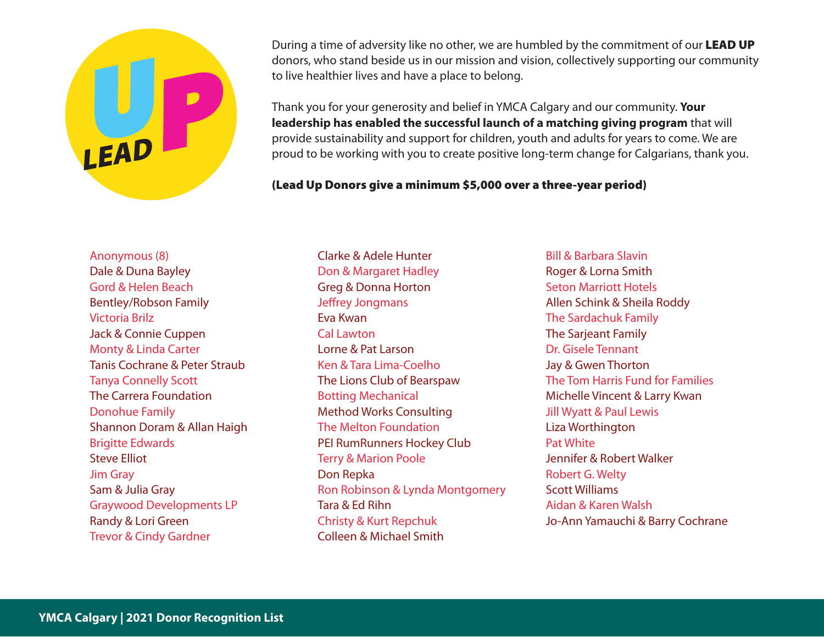During a time of adversity like no other, we are humbled by the commitment of our LEAD UP donors, who stand beside us in our mission and vision, collectively supporting our community to live healthier lives and have a place to belong.

Thank you for your generosity and belief in YMCA Calgary and our community. **Your leadership has enabled the successful launch of a matching giving program** that will provide sustainability and support for children, youth and adults for years to come. We are proud to be working with you to create positive long-term change for Calgarians, thank you.

#### (Lead Up Donors give a minimum \$5,000 over a three-year period)

Anonymous (8) Dale & Duna Bayley Gord & Helen Beach Bentley/Robson Family Victoria Brilz Jack & Connie Cuppen Monty & Linda Carter Tanis Cochrane & Peter Straub Tanya Connelly Scott The Carrera Foundation Donohue Family Shannon Doram & Allan Haigh Brigitte Edwards Steve Elliot Jim Gray Sam & Julia Gray Graywood Developments LP Randy & Lori Green Trevor & Cindy Gardner

Clarke & Adele Hunter Don & Margaret Hadley Greg & Donna Horton Jeffrey Jongmans Eva Kwan Cal Lawton Lorne & Pat Larson Ken & Tara Lima-Coelho The Lions Club of Bearspaw Botting Mechanical Method Works Consulting The Melton Foundation PEI RumRunners Hockey Club Terry & Marion Poole Don Repka Ron Robinson & Lynda Montgomery Tara & Ed Rihn Christy & Kurt Repchuk Colleen & Michael Smith

Bill & Barbara Slavin Roger & Lorna Smith Seton Marriott Hotels Allen Schink & Sheila Roddy The Sardachuk Family The Sarjeant Family Dr. Gisele Tennant Jay & Gwen Thorton The Tom Harris Fund for Families Michelle Vincent & Larry Kwan Jill Wyatt & Paul Lewis Liza Worthington Pat White Jennifer & Robert Walker Robert G. Welty Scott Williams Aidan & Karen Walsh Jo-Ann Yamauchi & Barry Cochrane